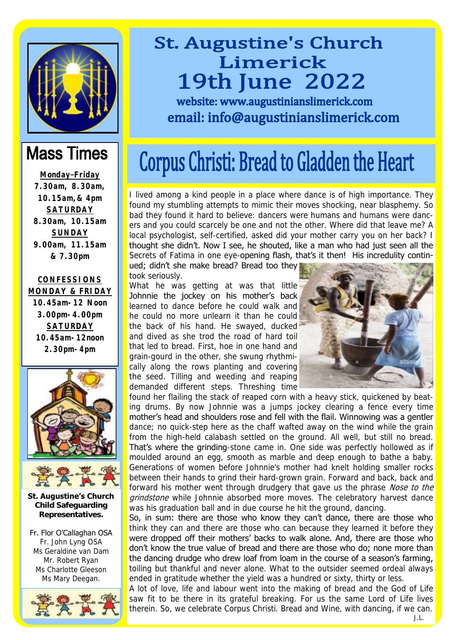

#### **Mass Times**

**Monday –Friday 7.30am, 8.30am, 10.15am,& 4pm SATURDAY 8.30am, 10.15am SUNDAY 9.00am, 11.15am & 7.30pm**

**CONFESSIONS MONDAY & FRIDAY**

**10.45am-12 Noon 3.00pm-4.00pm SATURDAY 10.45am-12noon 2.30pm-4pm**





**St. Augustine's Church Child Safeguarding Representatives.**

Fr. Flor O'Callaghan OSA Fr. John Lyng OSA Ms Geraldine van Dam Mr. Robert Ryan Ms Charlotte Gleeson Ms Mary Deegan.



# **St. Augustine's Church** Limerick **19th June 2022**

website: www.augustinianslimerick.com email: info@augustinianslimerick.com

# Corpus Christi: Bread to Gladden the Heart

I lived among a kind people in a place where dance is of high importance. They found my stumbling attempts to mimic their moves shocking, near blasphemy. So bad they found it hard to believe: dancers were humans and humans were dancers and you could scarcely be one and not the other. Where did that leave me? A local psychologist, self-certified, asked did your mother carry you on her back? I thought she didn't. Now I see, he shouted, like a man who had just seen all the Secrets of Fatima in one eye-opening flash, that's it then! His incredulity contin-

ued; didn't she make bread? Bread too they took seriously.

What he was getting at was that little Johnnie the jockey on his mother's back learned to dance before he could walk and he could no more unlearn it than he could the back of his hand. He swayed, ducked and dived as she trod the road of hard toil that led to bread. First, hoe in one hand and grain-gourd in the other, she swung rhythmically along the rows planting and covering the seed. Tilling and weeding and reaping demanded different steps. Threshing time



found her flailing the stack of reaped corn with a heavy stick, quickened by beating drums. By now Johnnie was a jumps jockey clearing a fence every time mother's head and shoulders rose and fell with the flail. Winnowing was a gentler dance; no quick-step here as the chaff wafted away on the wind while the grain from the high-held calabash settled on the ground. All well, but still no bread. That's where the grinding-stone came in. One side was perfectly hollowed as if moulded around an egg, smooth as marble and deep enough to bathe a baby. Generations of women before Johnnie's mother had knelt holding smaller rocks between their hands to grind their hard-grown grain. Forward and back, back and forward his mother went through drudgery that gave us the phrase Nose to the grindstone while Johnnie absorbed more moves. The celebratory harvest dance was his graduation ball and in due course he hit the ground, dancing.

So, in sum: there are those who know they can't dance, there are those who think they can and there are those who can because they learned it before they were dropped off their mothers' backs to walk alone. And, there are those who don't know the true value of bread and there are those who do; none more than the dancing drudge who drew loaf from loam in the course of a season's farming, toiling but thankful and never alone. What to the outsider seemed ordeal always ended in gratitude whether the yield was a hundred or sixty, thirty or less.

A lot of love, life and labour went into the making of bread and the God of Life saw fit to be there in its grateful breaking. For us the same Lord of Life lives therein. So, we celebrate Corpus Christi. Bread and Wine, with dancing, if we can. J.L.